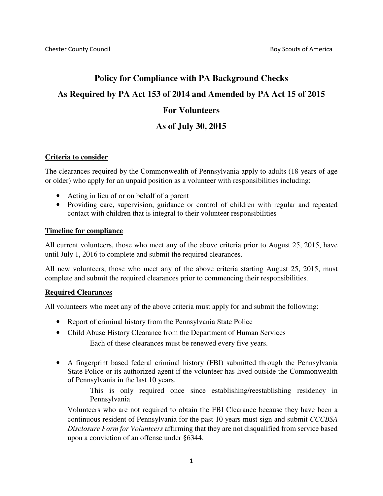# **Policy for Compliance with PA Background Checks As Required by PA Act 153 of 2014 and Amended by PA Act 15 of 2015 For Volunteers As of July 30, 2015**

## **Criteria to consider**

The clearances required by the Commonwealth of Pennsylvania apply to adults (18 years of age or older) who apply for an unpaid position as a volunteer with responsibilities including:

- Acting in lieu of or on behalf of a parent
- Providing care, supervision, guidance or control of children with regular and repeated contact with children that is integral to their volunteer responsibilities

## **Timeline for compliance**

All current volunteers, those who meet any of the above criteria prior to August 25, 2015, have until July 1, 2016 to complete and submit the required clearances.

All new volunteers, those who meet any of the above criteria starting August 25, 2015, must complete and submit the required clearances prior to commencing their responsibilities.

## **Required Clearances**

All volunteers who meet any of the above criteria must apply for and submit the following:

- Report of criminal history from the Pennsylvania State Police
- Child Abuse History Clearance from the Department of Human Services Each of these clearances must be renewed every five years.
- A fingerprint based federal criminal history (FBI) submitted through the Pennsylvania State Police or its authorized agent if the volunteer has lived outside the Commonwealth of Pennsylvania in the last 10 years.

This is only required once since establishing/reestablishing residency in Pennsylvania

Volunteers who are not required to obtain the FBI Clearance because they have been a continuous resident of Pennsylvania for the past 10 years must sign and submit *CCCBSA Disclosure Form for Volunteers* affirming that they are not disqualified from service based upon a conviction of an offense under §6344.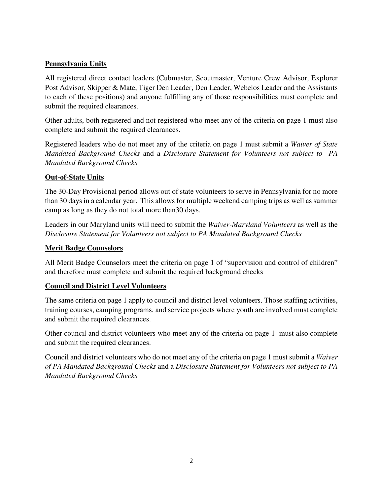# **Pennsylvania Units**

All registered direct contact leaders (Cubmaster, Scoutmaster, Venture Crew Advisor, Explorer Post Advisor, Skipper & Mate, Tiger Den Leader, Den Leader, Webelos Leader and the Assistants to each of these positions) and anyone fulfilling any of those responsibilities must complete and submit the required clearances.

Other adults, both registered and not registered who meet any of the criteria on page 1 must also complete and submit the required clearances.

Registered leaders who do not meet any of the criteria on page 1 must submit a *Waiver of State Mandated Background Checks* and a *Disclosure Statement for Volunteers not subject to PA Mandated Background Checks* 

# **Out-of-State Units**

The 30-Day Provisional period allows out of state volunteers to serve in Pennsylvania for no more than 30 days in a calendar year. This allows for multiple weekend camping trips as well as summer camp as long as they do not total more than30 days.

Leaders in our Maryland units will need to submit the *Waiver-Maryland Volunteers* as well as the *Disclosure Statement for Volunteers not subject to PA Mandated Background Checks* 

## **Merit Badge Counselors**

All Merit Badge Counselors meet the criteria on page 1 of "supervision and control of children" and therefore must complete and submit the required background checks

# **Council and District Level Volunteers**

The same criteria on page 1 apply to council and district level volunteers. Those staffing activities, training courses, camping programs, and service projects where youth are involved must complete and submit the required clearances.

Other council and district volunteers who meet any of the criteria on page 1 must also complete and submit the required clearances.

Council and district volunteers who do not meet any of the criteria on page 1 must submit a *Waiver of PA Mandated Background Checks* and a *Disclosure Statement for Volunteers not subject to PA Mandated Background Checks*